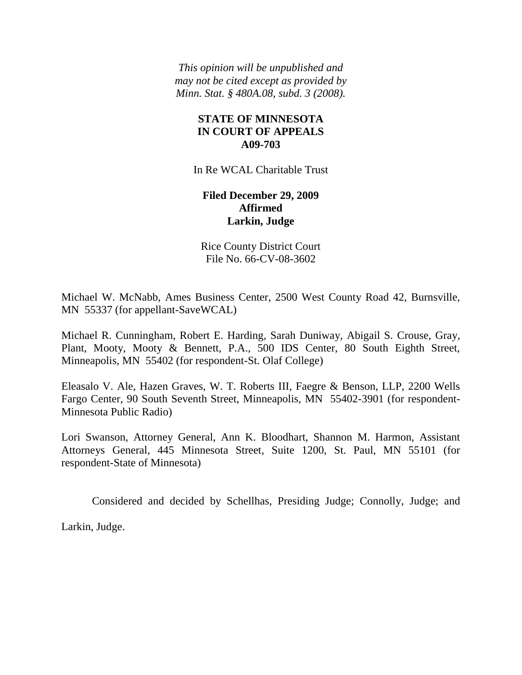*This opinion will be unpublished and may not be cited except as provided by Minn. Stat. § 480A.08, subd. 3 (2008).*

# **STATE OF MINNESOTA IN COURT OF APPEALS A09-703**

In Re WCAL Charitable Trust

# **Filed December 29, 2009 Affirmed Larkin, Judge**

Rice County District Court File No. 66-CV-08-3602

Michael W. McNabb, Ames Business Center, 2500 West County Road 42, Burnsville, MN 55337 (for appellant-SaveWCAL)

Michael R. Cunningham, Robert E. Harding, Sarah Duniway, Abigail S. Crouse, Gray, Plant, Mooty, Mooty & Bennett, P.A., 500 IDS Center, 80 South Eighth Street, Minneapolis, MN 55402 (for respondent-St. Olaf College)

Eleasalo V. Ale, Hazen Graves, W. T. Roberts III, Faegre & Benson, LLP, 2200 Wells Fargo Center, 90 South Seventh Street, Minneapolis, MN 55402-3901 (for respondent-Minnesota Public Radio)

Lori Swanson, Attorney General, Ann K. Bloodhart, Shannon M. Harmon, Assistant Attorneys General, 445 Minnesota Street, Suite 1200, St. Paul, MN 55101 (for respondent-State of Minnesota)

Considered and decided by Schellhas, Presiding Judge; Connolly, Judge; and

Larkin, Judge.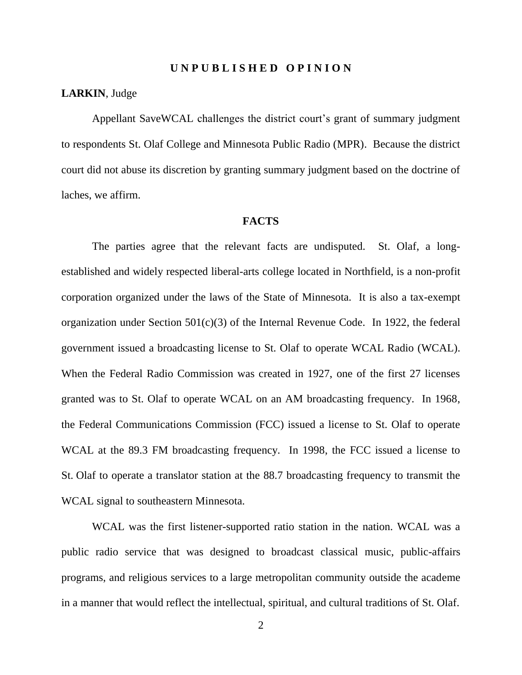#### **U N P U B L I S H E D O P I N I O N**

## **LARKIN**, Judge

Appellant SaveWCAL challenges the district court's grant of summary judgment to respondents St. Olaf College and Minnesota Public Radio (MPR). Because the district court did not abuse its discretion by granting summary judgment based on the doctrine of laches, we affirm.

## **FACTS**

The parties agree that the relevant facts are undisputed. St. Olaf, a longestablished and widely respected liberal-arts college located in Northfield, is a non-profit corporation organized under the laws of the State of Minnesota. It is also a tax-exempt organization under Section  $501(c)(3)$  of the Internal Revenue Code. In 1922, the federal government issued a broadcasting license to St. Olaf to operate WCAL Radio (WCAL). When the Federal Radio Commission was created in 1927, one of the first 27 licenses granted was to St. Olaf to operate WCAL on an AM broadcasting frequency. In 1968, the Federal Communications Commission (FCC) issued a license to St. Olaf to operate WCAL at the 89.3 FM broadcasting frequency. In 1998, the FCC issued a license to St. Olaf to operate a translator station at the 88.7 broadcasting frequency to transmit the WCAL signal to southeastern Minnesota.

WCAL was the first listener-supported ratio station in the nation. WCAL was a public radio service that was designed to broadcast classical music, public-affairs programs, and religious services to a large metropolitan community outside the academe in a manner that would reflect the intellectual, spiritual, and cultural traditions of St. Olaf.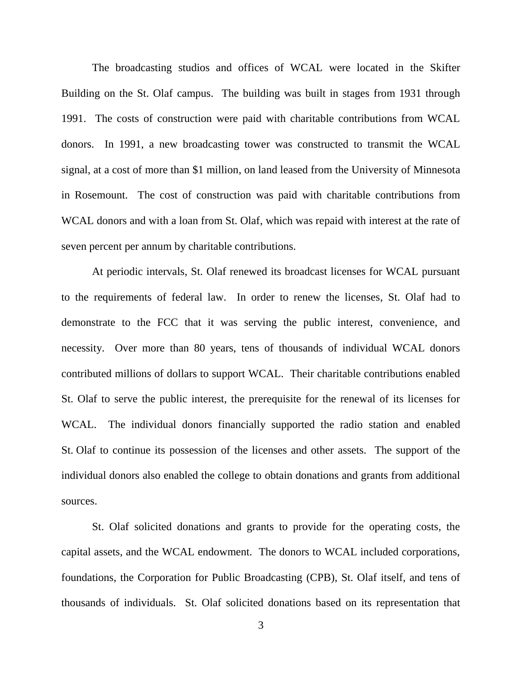The broadcasting studios and offices of WCAL were located in the Skifter Building on the St. Olaf campus. The building was built in stages from 1931 through 1991. The costs of construction were paid with charitable contributions from WCAL donors. In 1991, a new broadcasting tower was constructed to transmit the WCAL signal, at a cost of more than \$1 million, on land leased from the University of Minnesota in Rosemount. The cost of construction was paid with charitable contributions from WCAL donors and with a loan from St. Olaf, which was repaid with interest at the rate of seven percent per annum by charitable contributions.

At periodic intervals, St. Olaf renewed its broadcast licenses for WCAL pursuant to the requirements of federal law. In order to renew the licenses, St. Olaf had to demonstrate to the FCC that it was serving the public interest, convenience, and necessity. Over more than 80 years, tens of thousands of individual WCAL donors contributed millions of dollars to support WCAL. Their charitable contributions enabled St. Olaf to serve the public interest, the prerequisite for the renewal of its licenses for WCAL. The individual donors financially supported the radio station and enabled St. Olaf to continue its possession of the licenses and other assets. The support of the individual donors also enabled the college to obtain donations and grants from additional sources.

St. Olaf solicited donations and grants to provide for the operating costs, the capital assets, and the WCAL endowment. The donors to WCAL included corporations, foundations, the Corporation for Public Broadcasting (CPB), St. Olaf itself, and tens of thousands of individuals. St. Olaf solicited donations based on its representation that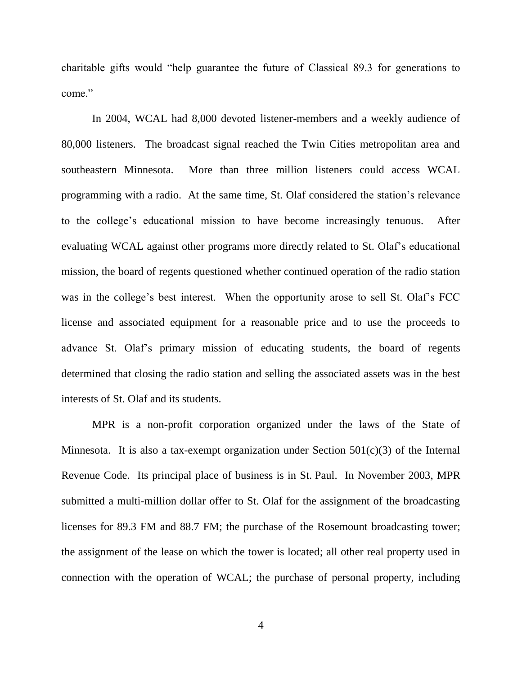charitable gifts would "help guarantee the future of Classical 89.3 for generations to come."

In 2004, WCAL had 8,000 devoted listener-members and a weekly audience of 80,000 listeners. The broadcast signal reached the Twin Cities metropolitan area and southeastern Minnesota. More than three million listeners could access WCAL programming with a radio. At the same time, St. Olaf considered the station's relevance to the college's educational mission to have become increasingly tenuous. After evaluating WCAL against other programs more directly related to St. Olaf's educational mission, the board of regents questioned whether continued operation of the radio station was in the college's best interest. When the opportunity arose to sell St. Olaf's FCC license and associated equipment for a reasonable price and to use the proceeds to advance St. Olaf's primary mission of educating students, the board of regents determined that closing the radio station and selling the associated assets was in the best interests of St. Olaf and its students.

MPR is a non-profit corporation organized under the laws of the State of Minnesota. It is also a tax-exempt organization under Section 501(c)(3) of the Internal Revenue Code. Its principal place of business is in St. Paul. In November 2003, MPR submitted a multi-million dollar offer to St. Olaf for the assignment of the broadcasting licenses for 89.3 FM and 88.7 FM; the purchase of the Rosemount broadcasting tower; the assignment of the lease on which the tower is located; all other real property used in connection with the operation of WCAL; the purchase of personal property, including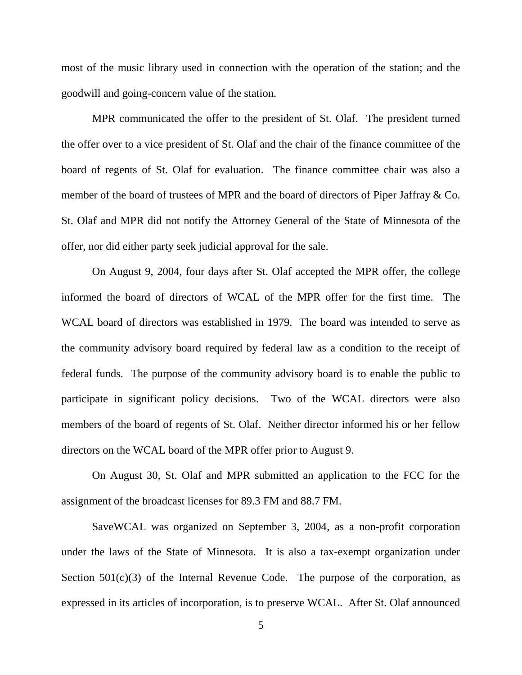most of the music library used in connection with the operation of the station; and the goodwill and going-concern value of the station.

MPR communicated the offer to the president of St. Olaf. The president turned the offer over to a vice president of St. Olaf and the chair of the finance committee of the board of regents of St. Olaf for evaluation. The finance committee chair was also a member of the board of trustees of MPR and the board of directors of Piper Jaffray & Co. St. Olaf and MPR did not notify the Attorney General of the State of Minnesota of the offer, nor did either party seek judicial approval for the sale.

On August 9, 2004, four days after St. Olaf accepted the MPR offer, the college informed the board of directors of WCAL of the MPR offer for the first time. The WCAL board of directors was established in 1979. The board was intended to serve as the community advisory board required by federal law as a condition to the receipt of federal funds. The purpose of the community advisory board is to enable the public to participate in significant policy decisions. Two of the WCAL directors were also members of the board of regents of St. Olaf. Neither director informed his or her fellow directors on the WCAL board of the MPR offer prior to August 9.

On August 30, St. Olaf and MPR submitted an application to the FCC for the assignment of the broadcast licenses for 89.3 FM and 88.7 FM.

SaveWCAL was organized on September 3, 2004, as a non-profit corporation under the laws of the State of Minnesota. It is also a tax-exempt organization under Section  $501(c)(3)$  of the Internal Revenue Code. The purpose of the corporation, as expressed in its articles of incorporation, is to preserve WCAL. After St. Olaf announced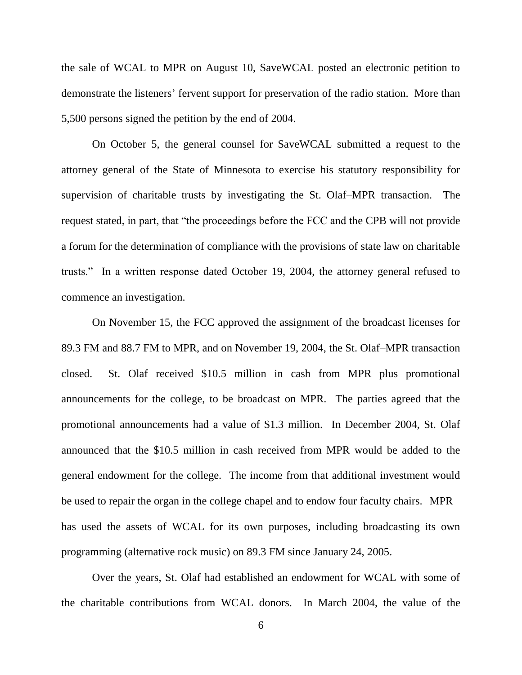the sale of WCAL to MPR on August 10, SaveWCAL posted an electronic petition to demonstrate the listeners' fervent support for preservation of the radio station. More than 5,500 persons signed the petition by the end of 2004.

On October 5, the general counsel for SaveWCAL submitted a request to the attorney general of the State of Minnesota to exercise his statutory responsibility for supervision of charitable trusts by investigating the St. Olaf–MPR transaction. The request stated, in part, that "the proceedings before the FCC and the CPB will not provide a forum for the determination of compliance with the provisions of state law on charitable trusts.‖ In a written response dated October 19, 2004, the attorney general refused to commence an investigation.

On November 15, the FCC approved the assignment of the broadcast licenses for 89.3 FM and 88.7 FM to MPR, and on November 19, 2004, the St. Olaf–MPR transaction closed. St. Olaf received \$10.5 million in cash from MPR plus promotional announcements for the college, to be broadcast on MPR. The parties agreed that the promotional announcements had a value of \$1.3 million. In December 2004, St. Olaf announced that the \$10.5 million in cash received from MPR would be added to the general endowment for the college. The income from that additional investment would be used to repair the organ in the college chapel and to endow four faculty chairs. MPR has used the assets of WCAL for its own purposes, including broadcasting its own programming (alternative rock music) on 89.3 FM since January 24, 2005.

Over the years, St. Olaf had established an endowment for WCAL with some of the charitable contributions from WCAL donors. In March 2004, the value of the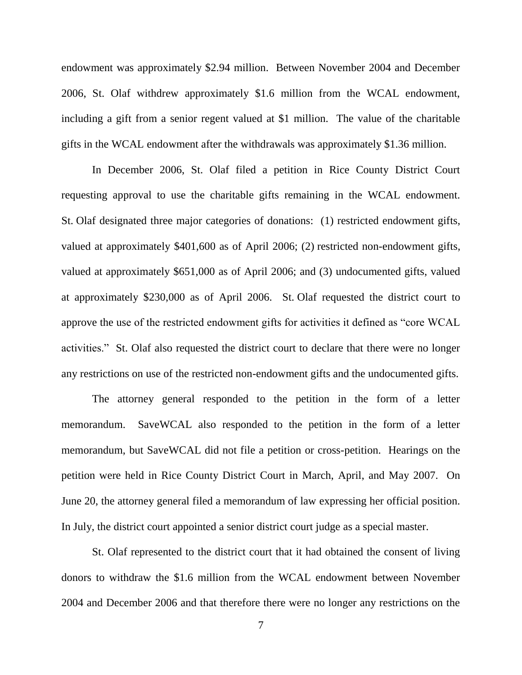endowment was approximately \$2.94 million. Between November 2004 and December 2006, St. Olaf withdrew approximately \$1.6 million from the WCAL endowment, including a gift from a senior regent valued at \$1 million. The value of the charitable gifts in the WCAL endowment after the withdrawals was approximately \$1.36 million.

In December 2006, St. Olaf filed a petition in Rice County District Court requesting approval to use the charitable gifts remaining in the WCAL endowment. St. Olaf designated three major categories of donations: (1) restricted endowment gifts, valued at approximately \$401,600 as of April 2006; (2) restricted non-endowment gifts, valued at approximately \$651,000 as of April 2006; and (3) undocumented gifts, valued at approximately \$230,000 as of April 2006. St. Olaf requested the district court to approve the use of the restricted endowment gifts for activities it defined as "core WCAL activities." St. Olaf also requested the district court to declare that there were no longer any restrictions on use of the restricted non-endowment gifts and the undocumented gifts.

The attorney general responded to the petition in the form of a letter memorandum. SaveWCAL also responded to the petition in the form of a letter memorandum, but SaveWCAL did not file a petition or cross-petition. Hearings on the petition were held in Rice County District Court in March, April, and May 2007. On June 20, the attorney general filed a memorandum of law expressing her official position. In July, the district court appointed a senior district court judge as a special master.

St. Olaf represented to the district court that it had obtained the consent of living donors to withdraw the \$1.6 million from the WCAL endowment between November 2004 and December 2006 and that therefore there were no longer any restrictions on the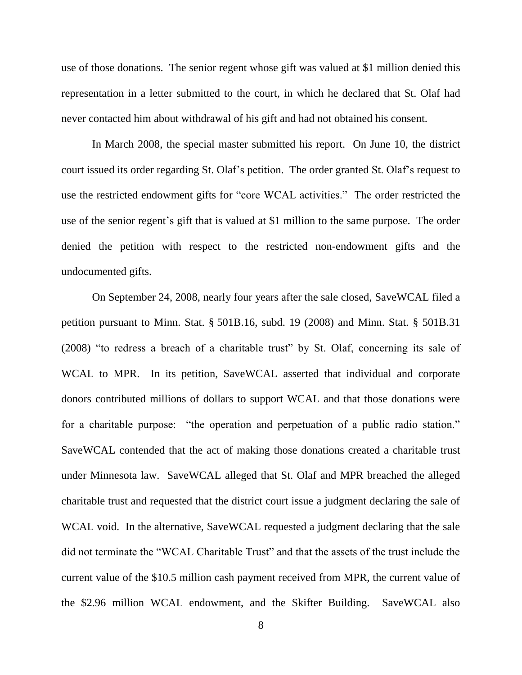use of those donations. The senior regent whose gift was valued at \$1 million denied this representation in a letter submitted to the court, in which he declared that St. Olaf had never contacted him about withdrawal of his gift and had not obtained his consent.

In March 2008, the special master submitted his report. On June 10, the district court issued its order regarding St. Olaf's petition. The order granted St. Olaf's request to use the restricted endowment gifts for "core WCAL activities." The order restricted the use of the senior regent's gift that is valued at \$1 million to the same purpose. The order denied the petition with respect to the restricted non-endowment gifts and the undocumented gifts.

On September 24, 2008, nearly four years after the sale closed, SaveWCAL filed a petition pursuant to Minn. Stat. § 501B.16, subd. 19 (2008) and Minn. Stat. § 501B.31  $(2008)$  "to redress a breach of a charitable trust" by St. Olaf, concerning its sale of WCAL to MPR. In its petition, SaveWCAL asserted that individual and corporate donors contributed millions of dollars to support WCAL and that those donations were for a charitable purpose: "the operation and perpetuation of a public radio station." SaveWCAL contended that the act of making those donations created a charitable trust under Minnesota law. SaveWCAL alleged that St. Olaf and MPR breached the alleged charitable trust and requested that the district court issue a judgment declaring the sale of WCAL void. In the alternative, SaveWCAL requested a judgment declaring that the sale did not terminate the "WCAL Charitable Trust" and that the assets of the trust include the current value of the \$10.5 million cash payment received from MPR, the current value of the \$2.96 million WCAL endowment, and the Skifter Building. SaveWCAL also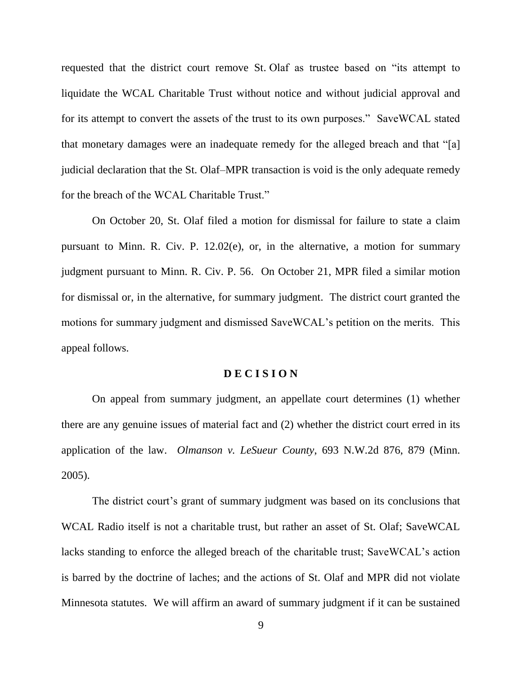requested that the district court remove St. Olaf as trustee based on "its attempt to liquidate the WCAL Charitable Trust without notice and without judicial approval and for its attempt to convert the assets of the trust to its own purposes." SaveWCAL stated that monetary damages were an inadequate remedy for the alleged breach and that "[a] judicial declaration that the St. Olaf–MPR transaction is void is the only adequate remedy for the breach of the WCAL Charitable Trust."

On October 20, St. Olaf filed a motion for dismissal for failure to state a claim pursuant to Minn. R. Civ. P. 12.02(e), or, in the alternative, a motion for summary judgment pursuant to Minn. R. Civ. P. 56. On October 21, MPR filed a similar motion for dismissal or, in the alternative, for summary judgment. The district court granted the motions for summary judgment and dismissed SaveWCAL's petition on the merits. This appeal follows.

## **D E C I S I O N**

On appeal from summary judgment, an appellate court determines (1) whether there are any genuine issues of material fact and (2) whether the district court erred in its application of the law. *Olmanson v. LeSueur County*, 693 N.W.2d 876, 879 (Minn. 2005).

The district court's grant of summary judgment was based on its conclusions that WCAL Radio itself is not a charitable trust, but rather an asset of St. Olaf; SaveWCAL lacks standing to enforce the alleged breach of the charitable trust; SaveWCAL's action is barred by the doctrine of laches; and the actions of St. Olaf and MPR did not violate Minnesota statutes. We will affirm an award of summary judgment if it can be sustained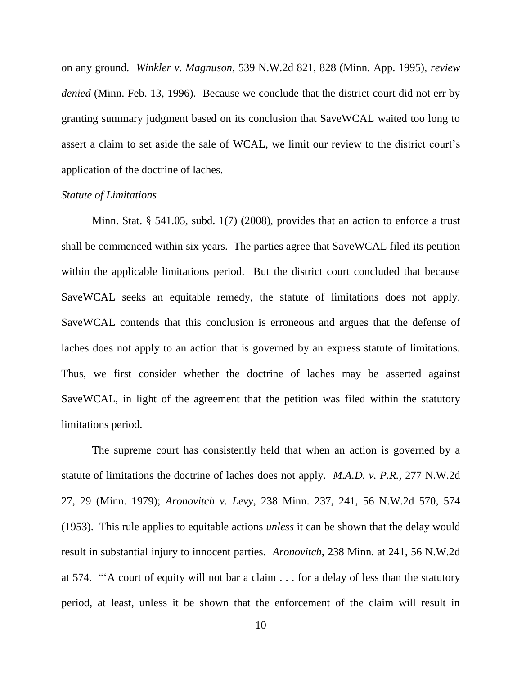on any ground. *Winkler v. Magnuson*, 539 N.W.2d 821, 828 (Minn. App. 1995), *review denied* (Minn. Feb. 13, 1996). Because we conclude that the district court did not err by granting summary judgment based on its conclusion that SaveWCAL waited too long to assert a claim to set aside the sale of WCAL, we limit our review to the district court's application of the doctrine of laches.

#### *Statute of Limitations*

Minn. Stat. § 541.05, subd. 1(7) (2008), provides that an action to enforce a trust shall be commenced within six years. The parties agree that SaveWCAL filed its petition within the applicable limitations period. But the district court concluded that because SaveWCAL seeks an equitable remedy, the statute of limitations does not apply. SaveWCAL contends that this conclusion is erroneous and argues that the defense of laches does not apply to an action that is governed by an express statute of limitations. Thus, we first consider whether the doctrine of laches may be asserted against SaveWCAL, in light of the agreement that the petition was filed within the statutory limitations period.

The supreme court has consistently held that when an action is governed by a statute of limitations the doctrine of laches does not apply. *M.A.D. v. P.R.*, 277 N.W.2d 27, 29 (Minn. 1979); *Aronovitch v. Levy*, 238 Minn. 237, 241, 56 N.W.2d 570, 574 (1953). This rule applies to equitable actions *unless* it can be shown that the delay would result in substantial injury to innocent parties. *Aronovitch*, 238 Minn. at 241, 56 N.W.2d at 574.  $\cdot\cdot\cdot$  A court of equity will not bar a claim . . . for a delay of less than the statutory period, at least, unless it be shown that the enforcement of the claim will result in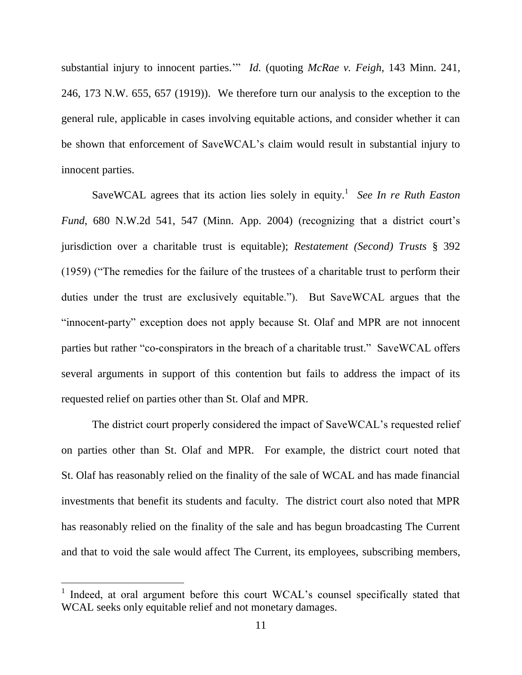substantial injury to innocent parties." *Id.* (quoting *McRae v. Feigh*, 143 Minn. 241, 246, 173 N.W. 655, 657 (1919)). We therefore turn our analysis to the exception to the general rule, applicable in cases involving equitable actions, and consider whether it can be shown that enforcement of SaveWCAL's claim would result in substantial injury to innocent parties.

SaveWCAL agrees that its action lies solely in equity. 1 *See In re Ruth Easton Fund*, 680 N.W.2d 541, 547 (Minn. App. 2004) (recognizing that a district court's jurisdiction over a charitable trust is equitable); *Restatement (Second) Trusts* § 392  $(1959)$  ("The remedies for the failure of the trustees of a charitable trust to perform their duties under the trust are exclusively equitable."). But SaveWCAL argues that the "innocent-party" exception does not apply because St. Olaf and MPR are not innocent parties but rather "co-conspirators in the breach of a charitable trust." SaveWCAL offers several arguments in support of this contention but fails to address the impact of its requested relief on parties other than St. Olaf and MPR.

The district court properly considered the impact of SaveWCAL's requested relief on parties other than St. Olaf and MPR. For example, the district court noted that St. Olaf has reasonably relied on the finality of the sale of WCAL and has made financial investments that benefit its students and faculty. The district court also noted that MPR has reasonably relied on the finality of the sale and has begun broadcasting The Current and that to void the sale would affect The Current, its employees, subscribing members,

 $\overline{a}$ 

<sup>&</sup>lt;sup>1</sup> Indeed, at oral argument before this court WCAL's counsel specifically stated that WCAL seeks only equitable relief and not monetary damages.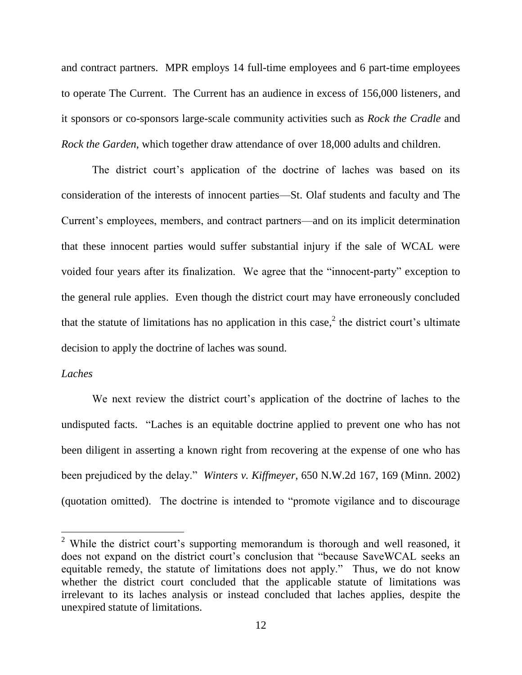and contract partners. MPR employs 14 full-time employees and 6 part-time employees to operate The Current. The Current has an audience in excess of 156,000 listeners, and it sponsors or co-sponsors large-scale community activities such as *Rock the Cradle* and *Rock the Garden*, which together draw attendance of over 18,000 adults and children.

The district court's application of the doctrine of laches was based on its consideration of the interests of innocent parties—St. Olaf students and faculty and The Current's employees, members, and contract partners—and on its implicit determination that these innocent parties would suffer substantial injury if the sale of WCAL were voided four years after its finalization. We agree that the "innocent-party" exception to the general rule applies. Even though the district court may have erroneously concluded that the statute of limitations has no application in this case,<sup>2</sup> the district court's ultimate decision to apply the doctrine of laches was sound.

## *Laches*

We next review the district court's application of the doctrine of laches to the undisputed facts. "Laches is an equitable doctrine applied to prevent one who has not been diligent in asserting a known right from recovering at the expense of one who has been prejudiced by the delay." *Winters v. Kiffmeyer*, 650 N.W.2d 167, 169 (Minn. 2002) (quotation omitted). The doctrine is intended to "promote vigilance and to discourage

<sup>&</sup>lt;sup>2</sup> While the district court's supporting memorandum is thorough and well reasoned, it does not expand on the district court's conclusion that "because SaveWCAL seeks an equitable remedy, the statute of limitations does not apply." Thus, we do not know whether the district court concluded that the applicable statute of limitations was irrelevant to its laches analysis or instead concluded that laches applies, despite the unexpired statute of limitations.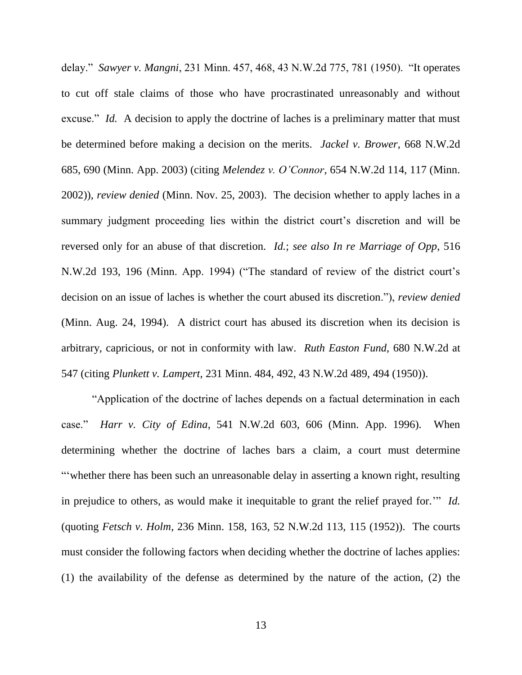delay." *Sawyer v. Mangni*, 231 Minn. 457, 468, 43 N.W.2d 775, 781 (1950). "It operates to cut off stale claims of those who have procrastinated unreasonably and without excuse." *Id.* A decision to apply the doctrine of laches is a preliminary matter that must be determined before making a decision on the merits. *Jackel v. Brower*, 668 N.W.2d 685, 690 (Minn. App. 2003) (citing *Melendez v. O'Connor*, 654 N.W.2d 114, 117 (Minn. 2002)), *review denied* (Minn. Nov. 25, 2003). The decision whether to apply laches in a summary judgment proceeding lies within the district court's discretion and will be reversed only for an abuse of that discretion. *Id.*; *see also In re Marriage of Opp*, 516 N.W.2d 193, 196 (Minn. App. 1994) ("The standard of review of the district court's decision on an issue of laches is whether the court abused its discretion."), *review denied* (Minn. Aug. 24, 1994). A district court has abused its discretion when its decision is arbitrary, capricious, or not in conformity with law. *Ruth Easton Fund*, 680 N.W.2d at 547 (citing *Plunkett v. Lampert*, 231 Minn. 484, 492, 43 N.W.2d 489, 494 (1950)).

―Application of the doctrine of laches depends on a factual determination in each case.‖ *Harr v. City of Edina*, 541 N.W.2d 603, 606 (Minn. App. 1996). When determining whether the doctrine of laches bars a claim, a court must determine ―‗whether there has been such an unreasonable delay in asserting a known right, resulting in prejudice to others, as would make it inequitable to grant the relief prayed for." *Id.* (quoting *Fetsch v. Holm*, 236 Minn. 158, 163, 52 N.W.2d 113, 115 (1952)). The courts must consider the following factors when deciding whether the doctrine of laches applies: (1) the availability of the defense as determined by the nature of the action, (2) the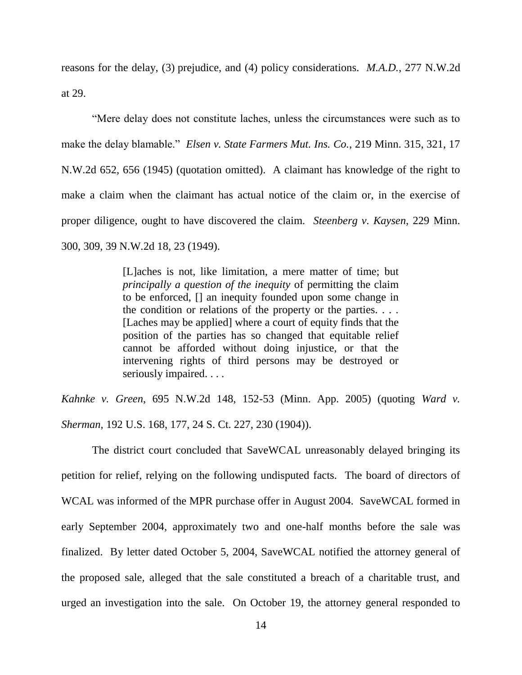reasons for the delay, (3) prejudice, and (4) policy considerations. *M.A.D.*, 277 N.W.2d at 29.

―Mere delay does not constitute laches, unless the circumstances were such as to make the delay blamable." *Elsen v. State Farmers Mut. Ins. Co.*, 219 Minn. 315, 321, 17 N.W.2d 652, 656 (1945) (quotation omitted). A claimant has knowledge of the right to make a claim when the claimant has actual notice of the claim or, in the exercise of proper diligence, ought to have discovered the claim. *Steenberg v. Kaysen*, 229 Minn. 300, 309, 39 N.W.2d 18, 23 (1949).

> [L]aches is not, like limitation, a mere matter of time; but *principally a question of the inequity* of permitting the claim to be enforced, [] an inequity founded upon some change in the condition or relations of the property or the parties.  $\dots$ [Laches may be applied] where a court of equity finds that the position of the parties has so changed that equitable relief cannot be afforded without doing injustice, or that the intervening rights of third persons may be destroyed or seriously impaired. . . .

*Kahnke v. Green*, 695 N.W.2d 148, 152-53 (Minn. App. 2005) (quoting *Ward v. Sherman*, 192 U.S. 168, 177, 24 S. Ct. 227, 230 (1904)).

The district court concluded that SaveWCAL unreasonably delayed bringing its petition for relief, relying on the following undisputed facts. The board of directors of WCAL was informed of the MPR purchase offer in August 2004. SaveWCAL formed in early September 2004, approximately two and one-half months before the sale was finalized. By letter dated October 5, 2004, SaveWCAL notified the attorney general of the proposed sale, alleged that the sale constituted a breach of a charitable trust, and urged an investigation into the sale. On October 19, the attorney general responded to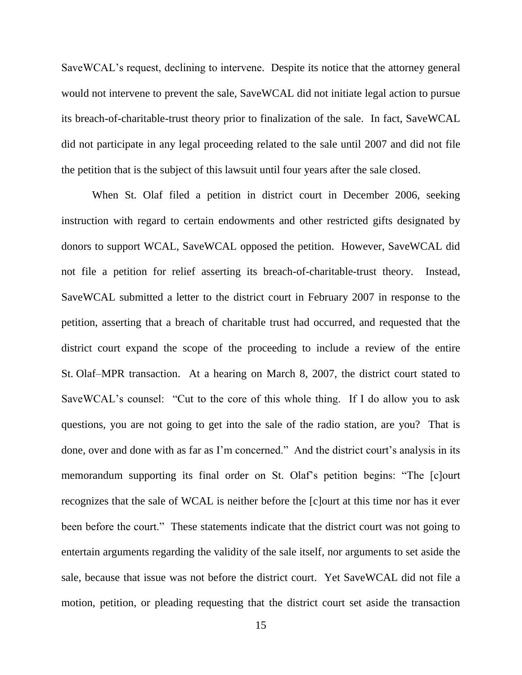SaveWCAL's request, declining to intervene. Despite its notice that the attorney general would not intervene to prevent the sale, SaveWCAL did not initiate legal action to pursue its breach-of-charitable-trust theory prior to finalization of the sale. In fact, SaveWCAL did not participate in any legal proceeding related to the sale until 2007 and did not file the petition that is the subject of this lawsuit until four years after the sale closed.

When St. Olaf filed a petition in district court in December 2006, seeking instruction with regard to certain endowments and other restricted gifts designated by donors to support WCAL, SaveWCAL opposed the petition. However, SaveWCAL did not file a petition for relief asserting its breach-of-charitable-trust theory. Instead, SaveWCAL submitted a letter to the district court in February 2007 in response to the petition, asserting that a breach of charitable trust had occurred, and requested that the district court expand the scope of the proceeding to include a review of the entire St. Olaf–MPR transaction. At a hearing on March 8, 2007, the district court stated to SaveWCAL's counsel: "Cut to the core of this whole thing. If I do allow you to ask questions, you are not going to get into the sale of the radio station, are you? That is done, over and done with as far as I'm concerned." And the district court's analysis in its memorandum supporting its final order on St. Olaf's petition begins: "The [c]ourt recognizes that the sale of WCAL is neither before the [c]ourt at this time nor has it ever been before the court." These statements indicate that the district court was not going to entertain arguments regarding the validity of the sale itself, nor arguments to set aside the sale, because that issue was not before the district court. Yet SaveWCAL did not file a motion, petition, or pleading requesting that the district court set aside the transaction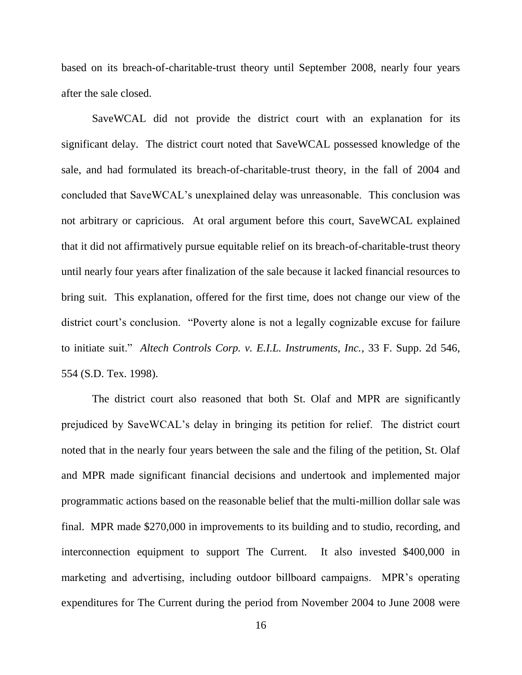based on its breach-of-charitable-trust theory until September 2008, nearly four years after the sale closed.

SaveWCAL did not provide the district court with an explanation for its significant delay. The district court noted that SaveWCAL possessed knowledge of the sale, and had formulated its breach-of-charitable-trust theory, in the fall of 2004 and concluded that SaveWCAL's unexplained delay was unreasonable. This conclusion was not arbitrary or capricious. At oral argument before this court, SaveWCAL explained that it did not affirmatively pursue equitable relief on its breach-of-charitable-trust theory until nearly four years after finalization of the sale because it lacked financial resources to bring suit. This explanation, offered for the first time, does not change our view of the district court's conclusion. "Poverty alone is not a legally cognizable excuse for failure to initiate suit.‖ *Altech Controls Corp. v. E.I.L. Instruments, Inc.*, 33 F. Supp. 2d 546, 554 (S.D. Tex. 1998).

The district court also reasoned that both St. Olaf and MPR are significantly prejudiced by SaveWCAL's delay in bringing its petition for relief. The district court noted that in the nearly four years between the sale and the filing of the petition, St. Olaf and MPR made significant financial decisions and undertook and implemented major programmatic actions based on the reasonable belief that the multi-million dollar sale was final. MPR made \$270,000 in improvements to its building and to studio, recording, and interconnection equipment to support The Current. It also invested \$400,000 in marketing and advertising, including outdoor billboard campaigns. MPR's operating expenditures for The Current during the period from November 2004 to June 2008 were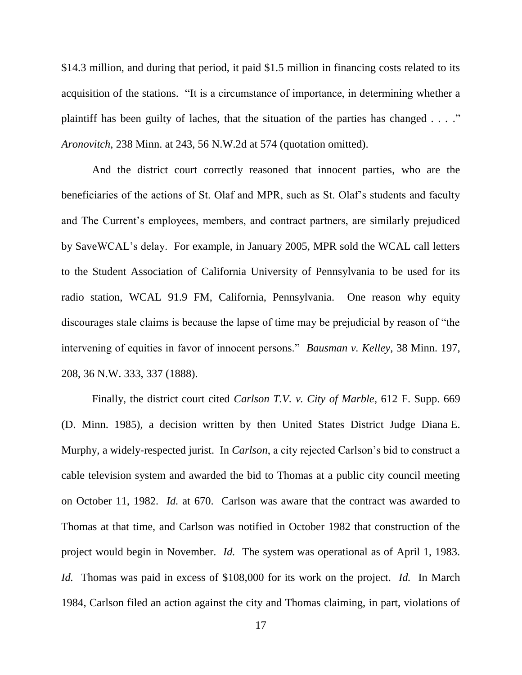\$14.3 million, and during that period, it paid \$1.5 million in financing costs related to its acquisition of the stations. "It is a circumstance of importance, in determining whether a plaintiff has been guilty of laches, that the situation of the parties has changed  $\dots$ ." *Aronovitch*, 238 Minn. at 243, 56 N.W.2d at 574 (quotation omitted).

And the district court correctly reasoned that innocent parties, who are the beneficiaries of the actions of St. Olaf and MPR, such as St. Olaf's students and faculty and The Current's employees, members, and contract partners, are similarly prejudiced by SaveWCAL's delay. For example, in January 2005, MPR sold the WCAL call letters to the Student Association of California University of Pennsylvania to be used for its radio station, WCAL 91.9 FM, California, Pennsylvania. One reason why equity discourages stale claims is because the lapse of time may be prejudicial by reason of "the intervening of equities in favor of innocent persons." *Bausman v. Kelley*, 38 Minn. 197, 208, 36 N.W. 333, 337 (1888).

Finally, the district court cited *Carlson T.V. v. City of Marble*, 612 F. Supp. 669 (D. Minn. 1985), a decision written by then United States District Judge Diana E. Murphy, a widely-respected jurist. In *Carlson*, a city rejected Carlson's bid to construct a cable television system and awarded the bid to Thomas at a public city council meeting on October 11, 1982. *Id.* at 670. Carlson was aware that the contract was awarded to Thomas at that time, and Carlson was notified in October 1982 that construction of the project would begin in November. *Id.* The system was operational as of April 1, 1983. *Id.* Thomas was paid in excess of \$108,000 for its work on the project. *Id.* In March 1984, Carlson filed an action against the city and Thomas claiming, in part, violations of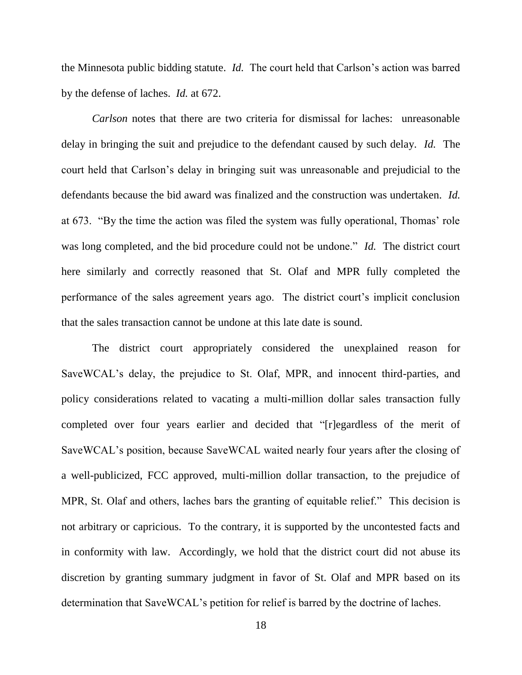the Minnesota public bidding statute. *Id.* The court held that Carlson's action was barred by the defense of laches. *Id.* at 672.

*Carlson* notes that there are two criteria for dismissal for laches: unreasonable delay in bringing the suit and prejudice to the defendant caused by such delay. *Id.* The court held that Carlson's delay in bringing suit was unreasonable and prejudicial to the defendants because the bid award was finalized and the construction was undertaken. *Id.* at 673. "By the time the action was filed the system was fully operational, Thomas' role was long completed, and the bid procedure could not be undone." *Id.* The district court here similarly and correctly reasoned that St. Olaf and MPR fully completed the performance of the sales agreement years ago. The district court's implicit conclusion that the sales transaction cannot be undone at this late date is sound.

The district court appropriately considered the unexplained reason for SaveWCAL's delay, the prejudice to St. Olaf, MPR, and innocent third-parties, and policy considerations related to vacating a multi-million dollar sales transaction fully completed over four years earlier and decided that "[r]egardless of the merit of SaveWCAL's position, because SaveWCAL waited nearly four years after the closing of a well-publicized, FCC approved, multi-million dollar transaction, to the prejudice of MPR, St. Olaf and others, laches bars the granting of equitable relief." This decision is not arbitrary or capricious. To the contrary, it is supported by the uncontested facts and in conformity with law. Accordingly, we hold that the district court did not abuse its discretion by granting summary judgment in favor of St. Olaf and MPR based on its determination that SaveWCAL's petition for relief is barred by the doctrine of laches.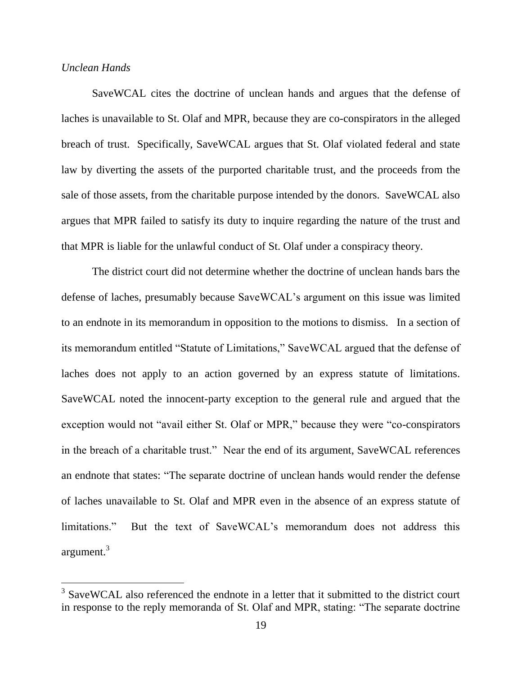## *Unclean Hands*

 $\overline{a}$ 

SaveWCAL cites the doctrine of unclean hands and argues that the defense of laches is unavailable to St. Olaf and MPR, because they are co-conspirators in the alleged breach of trust. Specifically, SaveWCAL argues that St. Olaf violated federal and state law by diverting the assets of the purported charitable trust, and the proceeds from the sale of those assets, from the charitable purpose intended by the donors. SaveWCAL also argues that MPR failed to satisfy its duty to inquire regarding the nature of the trust and that MPR is liable for the unlawful conduct of St. Olaf under a conspiracy theory.

The district court did not determine whether the doctrine of unclean hands bars the defense of laches, presumably because SaveWCAL's argument on this issue was limited to an endnote in its memorandum in opposition to the motions to dismiss. In a section of its memorandum entitled "Statute of Limitations," SaveWCAL argued that the defense of laches does not apply to an action governed by an express statute of limitations. SaveWCAL noted the innocent-party exception to the general rule and argued that the exception would not "avail either St. Olaf or MPR," because they were "co-conspirators" in the breach of a charitable trust." Near the end of its argument, SaveWCAL references an endnote that states: "The separate doctrine of unclean hands would render the defense of laches unavailable to St. Olaf and MPR even in the absence of an express statute of limitations." But the text of SaveWCAL's memorandum does not address this argument.<sup>3</sup>

 $3$  SaveWCAL also referenced the endnote in a letter that it submitted to the district court in response to the reply memoranda of St. Olaf and MPR, stating: "The separate doctrine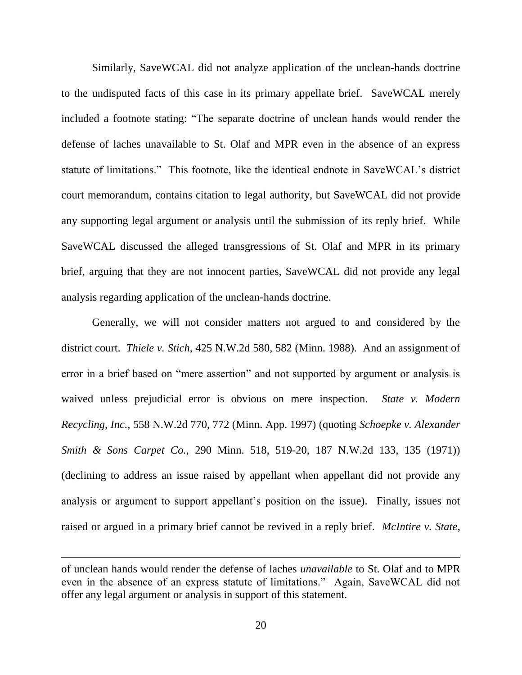Similarly, SaveWCAL did not analyze application of the unclean-hands doctrine to the undisputed facts of this case in its primary appellate brief. SaveWCAL merely included a footnote stating: "The separate doctrine of unclean hands would render the defense of laches unavailable to St. Olaf and MPR even in the absence of an express statute of limitations." This footnote, like the identical endnote in SaveWCAL's district court memorandum, contains citation to legal authority, but SaveWCAL did not provide any supporting legal argument or analysis until the submission of its reply brief. While SaveWCAL discussed the alleged transgressions of St. Olaf and MPR in its primary brief, arguing that they are not innocent parties, SaveWCAL did not provide any legal analysis regarding application of the unclean-hands doctrine.

Generally, we will not consider matters not argued to and considered by the district court. *Thiele v. Stich*, 425 N.W.2d 580, 582 (Minn. 1988). And an assignment of error in a brief based on "mere assertion" and not supported by argument or analysis is waived unless prejudicial error is obvious on mere inspection. *State v. Modern Recycling, Inc.*, 558 N.W.2d 770, 772 (Minn. App. 1997) (quoting *Schoepke v. Alexander Smith & Sons Carpet Co.*, 290 Minn. 518, 519-20, 187 N.W.2d 133, 135 (1971)) (declining to address an issue raised by appellant when appellant did not provide any analysis or argument to support appellant's position on the issue). Finally, issues not raised or argued in a primary brief cannot be revived in a reply brief. *McIntire v. State*,

of unclean hands would render the defense of laches *unavailable* to St. Olaf and to MPR even in the absence of an express statute of limitations." Again, SaveWCAL did not offer any legal argument or analysis in support of this statement.